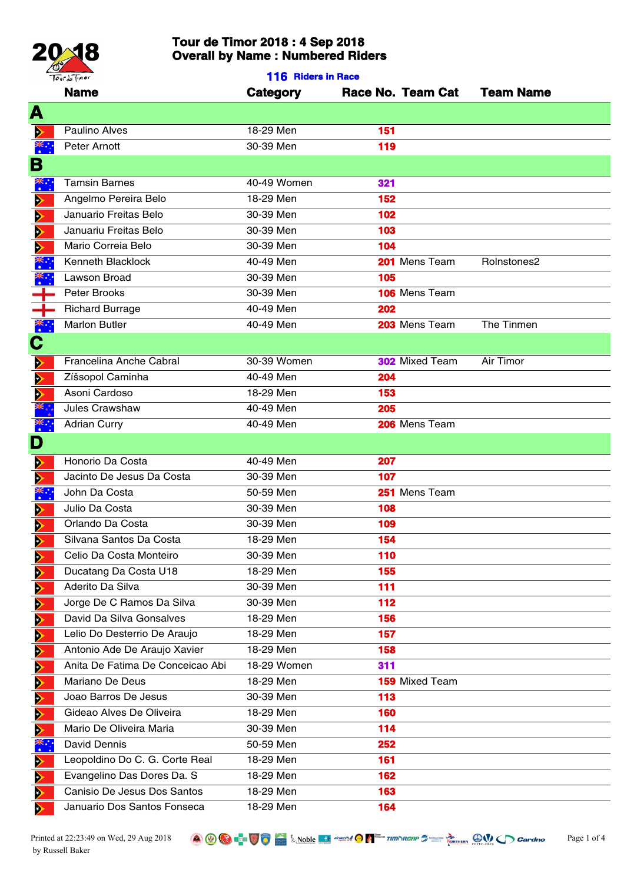

| Tourde Timor<br><b>116 Riders in Race</b> |                                  |                 |                       |                  |
|-------------------------------------------|----------------------------------|-----------------|-----------------------|------------------|
|                                           | <b>Name</b>                      | <b>Category</b> | Race No. Team Cat     | <b>Team Name</b> |
| A                                         |                                  |                 |                       |                  |
| ⋗                                         | Paulino Alves                    | 18-29 Men       | 151                   |                  |
| $\ddot{\ddot{\xi}}$ :                     | Peter Arnott                     | 30-39 Men       | 119                   |                  |
| В                                         |                                  |                 |                       |                  |
|                                           | <b>Tamsin Barnes</b>             | 40-49 Women     | 321                   |                  |
| ҉                                         | Angelmo Pereira Belo             | 18-29 Men       | 152                   |                  |
| ▶                                         | Januario Freitas Belo            | 30-39 Men       | 102                   |                  |
| ⋗                                         | Januariu Freitas Belo            | 30-39 Men       | 103                   |                  |
| $\blacktriangleright$                     | Mario Correia Belo               | 30-39 Men       | 104                   |                  |
| $\blacktriangleright$                     | Kenneth Blacklock                | 40-49 Men       | 201 Mens Team         | Rolnstones2      |
| ·<br>※                                    | Lawson Broad                     | 30-39 Men       | 105                   |                  |
|                                           | Peter Brooks                     | 30-39 Men       | 106 Mens Team         |                  |
|                                           |                                  |                 |                       |                  |
| ┿                                         | <b>Richard Burrage</b>           | 40-49 Men       | 202                   |                  |
| 、<br>米<br>・・                              | <b>Marlon Butler</b>             | 40-49 Men       | 203 Mens Team         | The Tinmen       |
| $\mathbf C$                               |                                  |                 |                       |                  |
| ⋗                                         | Francelina Anche Cabral          | 30-39 Women     | <b>302</b> Mixed Team | Air Timor        |
| $\blacktriangleright$                     | Zíšsopol Caminha                 | 40-49 Men       | 204                   |                  |
| $\blacktriangleright$                     | Asoni Cardoso                    | 18-29 Men       | 153                   |                  |
|                                           | Jules Crawshaw                   | 40-49 Men       | 205                   |                  |
| ँँ                                        | <b>Adrian Curry</b>              | 40-49 Men       | 206 Mens Team         |                  |
| D                                         |                                  |                 |                       |                  |
| $\blacktriangleright$                     | Honorio Da Costa                 | 40-49 Men       | 207                   |                  |
| $\blacktriangleright$                     | Jacinto De Jesus Da Costa        | 30-39 Men       | 107                   |                  |
| ▓                                         | John Da Costa                    | 50-59 Men       | 251 Mens Team         |                  |
| ⋗                                         | Julio Da Costa                   | 30-39 Men       | 108                   |                  |
| $\overline{\phantom{a}}$                  | Orlando Da Costa                 | 30-39 Men       | 109                   |                  |
| Þ                                         | Silvana Santos Da Costa          | 18-29 Men       | 154                   |                  |
| D                                         | Celio Da Costa Monteiro          | 30-39 Men       | 110                   |                  |
| D                                         | Ducatang Da Costa U18            | 18-29 Men       | 155                   |                  |
| ⋗                                         | Aderito Da Silva                 | 30-39 Men       | 111                   |                  |
| Þ                                         | Jorge De C Ramos Da Silva        | 30-39 Men       | 112                   |                  |
| $\blacktriangleright$                     | David Da Silva Gonsalves         | 18-29 Men       | 156                   |                  |
| Þ                                         | Lelio Do Desterrio De Araujo     | 18-29 Men       | 157                   |                  |
| D                                         | Antonio Ade De Araujo Xavier     | 18-29 Men       | 158                   |                  |
| Đ                                         | Anita De Fatima De Conceicao Abi | 18-29 Women     | 311                   |                  |
| $\blacktriangleright$                     | Mariano De Deus                  | 18-29 Men       | <b>159 Mixed Team</b> |                  |
| Þ                                         | Joao Barros De Jesus             | 30-39 Men       | 113                   |                  |
| D                                         | Gideao Alves De Oliveira         | 18-29 Men       | 160                   |                  |
| D                                         | Mario De Oliveira Maria          | 30-39 Men       | 114                   |                  |
| <u>ж.</u>                                 | <b>David Dennis</b>              | 50-59 Men       | 252                   |                  |
| $\bullet$ .<br>⋗                          | Leopoldino Do C. G. Corte Real   | 18-29 Men       | 161                   |                  |
| ⋗                                         | Evangelino Das Dores Da. S       | 18-29 Men       | 162                   |                  |
| Đ                                         | Canisio De Jesus Dos Santos      | 18-29 Men       | 163                   |                  |
| ⋗                                         | Januario Dos Santos Fonseca      | 18-29 Men       | 164                   |                  |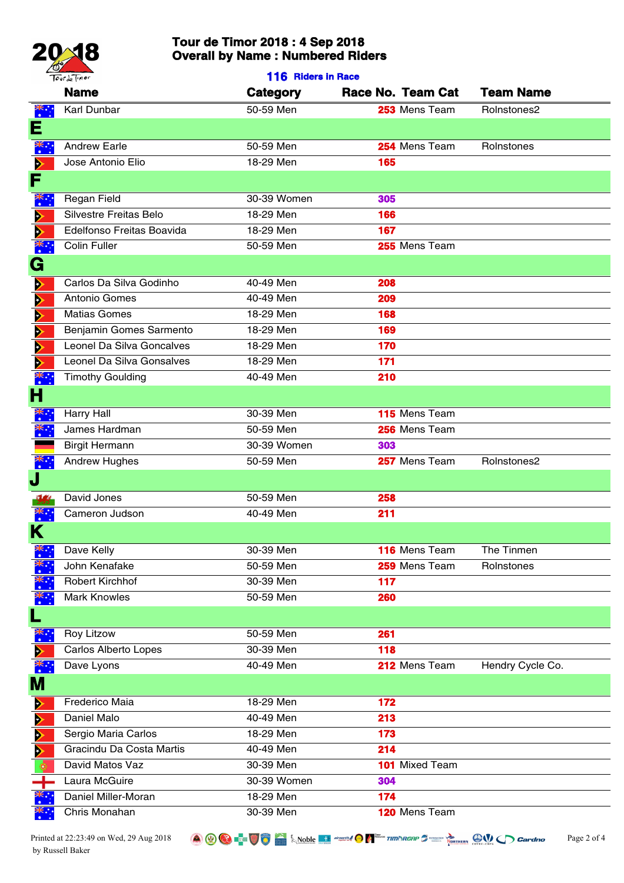

| Tourde Timor          |                                      | 116 Riders in Race     |                       |                  |  |
|-----------------------|--------------------------------------|------------------------|-----------------------|------------------|--|
|                       | <b>Name</b>                          | Category               | Race No. Team Cat     | <b>Team Name</b> |  |
| ҉                     | Karl Dunbar                          | 50-59 Men              | 253 Mens Team         | Rolnstones2      |  |
| Е                     |                                      |                        |                       |                  |  |
| ँँ                    | <b>Andrew Earle</b>                  | 50-59 Men              | 254 Mens Team         | Rolnstones       |  |
| $\blacktriangleright$ | Jose Antonio Elio                    | 18-29 Men              | 165                   |                  |  |
| F                     |                                      |                        |                       |                  |  |
| $\ddot{\ddot{\xi}}$ : | Regan Field                          | 30-39 Women            | 305                   |                  |  |
| ⋗                     | Silvestre Freitas Belo               | 18-29 Men              | 166                   |                  |  |
| $\blacktriangleright$ | Edelfonso Freitas Boavida            | 18-29 Men              | 167                   |                  |  |
| $\ddot{\cdot}$        | <b>Colin Fuller</b>                  | 50-59 Men              | 255 Mens Team         |                  |  |
| G                     |                                      |                        |                       |                  |  |
|                       |                                      |                        |                       |                  |  |
| ⋗                     | Carlos Da Silva Godinho              | 40-49 Men<br>40-49 Men | 208                   |                  |  |
| ⋗                     | Antonio Gomes<br><b>Matias Gomes</b> | 18-29 Men              | 209<br>168            |                  |  |
| ⋗                     | Benjamin Gomes Sarmento              | 18-29 Men              | 169                   |                  |  |
| ⋗                     | Leonel Da Silva Goncalves            | 18-29 Men              | 170                   |                  |  |
| ⋗<br>⋗                | Leonel Da Silva Gonsalves            | 18-29 Men              | 171                   |                  |  |
| $\ddot{\ddot{\cdot}}$ | <b>Timothy Goulding</b>              | 40-49 Men              | 210                   |                  |  |
|                       |                                      |                        |                       |                  |  |
| Н                     |                                      |                        |                       |                  |  |
| ؉ٞ<br>.               | <b>Harry Hall</b>                    | 30-39 Men              | 115 Mens Team         |                  |  |
| ँँ                    | James Hardman                        | 50-59 Men              | 256 Mens Team         |                  |  |
|                       | <b>Birgit Hermann</b>                | 30-39 Women            | 303                   |                  |  |
| $\ddot{\tilde{z}}$ :  | <b>Andrew Hughes</b>                 | 50-59 Men              | 257 Mens Team         | Rolnstones2      |  |
| J                     |                                      |                        |                       |                  |  |
|                       | David Jones                          | 50-59 Men              | 258                   |                  |  |
| .¥<br>∗               | Cameron Judson                       | 40-49 Men              | 211                   |                  |  |
| Κ                     |                                      |                        |                       |                  |  |
| ҉                     | Dave Kelly                           | 30-39 Men              | 116 Mens Team         | The Tinmen       |  |
|                       | John Kenafake                        | 50-59 Men              | 259 Mens Team         | Rolnstones       |  |
|                       | <b>Robert Kirchhof</b>               | 30-39 Men              | 117                   |                  |  |
| ҉                     | <b>Mark Knowles</b>                  | 50-59 Men              | 260                   |                  |  |
| L                     |                                      |                        |                       |                  |  |
| $\ddot{\ddot{\xi}}$ : | <b>Roy Litzow</b>                    | 50-59 Men              | 261                   |                  |  |
|                       | Carlos Alberto Lopes                 | 30-39 Men              | 118                   |                  |  |
|                       | Dave Lyons                           | 40-49 Men              | 212 Mens Team         | Hendry Cycle Co. |  |
| <u>М</u>              |                                      |                        |                       |                  |  |
| ⋗                     | Frederico Maia                       | 18-29 Men              | 172                   |                  |  |
| $\blacktriangleright$ | Daniel Malo                          | 40-49 Men              | 213                   |                  |  |
| $\blacktriangleright$ | Sergio Maria Carlos                  | 18-29 Men              | 173                   |                  |  |
| $\blacktriangleright$ | Gracindu Da Costa Martis             | 40-49 Men              | 214                   |                  |  |
|                       | David Matos Vaz                      | 30-39 Men              | <b>101</b> Mixed Team |                  |  |
|                       | Laura McGuire                        | 30-39 Women            | 304                   |                  |  |
|                       | Daniel Miller-Moran                  | 18-29 Men              | 174                   |                  |  |
|                       | Chris Monahan                        | 30-39 Men              | 120 Mens Team         |                  |  |
|                       |                                      |                        |                       |                  |  |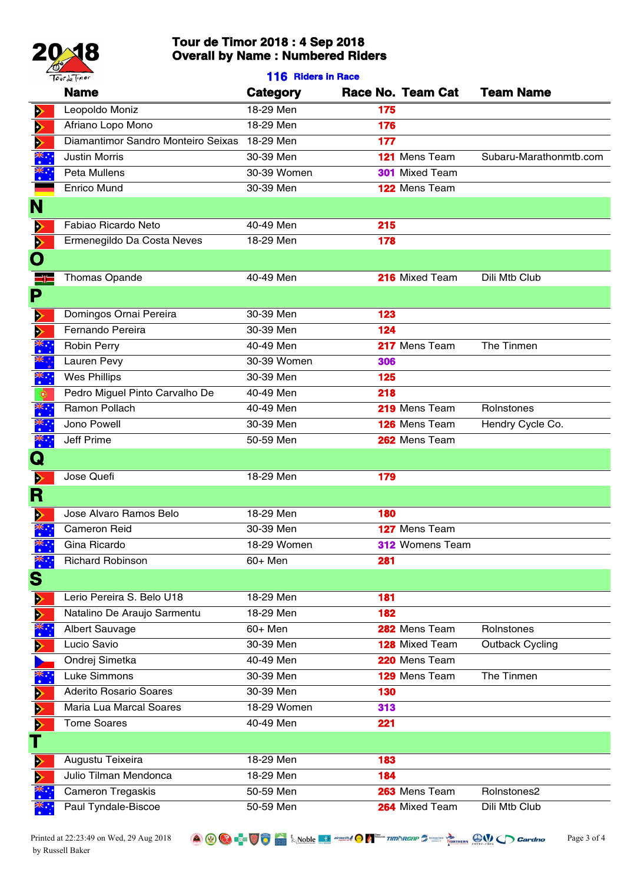

|                       | Tourde Timor                       | 116 Riders in Race |                        |                        |
|-----------------------|------------------------------------|--------------------|------------------------|------------------------|
|                       | <b>Name</b>                        | Category           | Race No. Team Cat      | <b>Team Name</b>       |
| ⋗                     | Leopoldo Moniz                     | 18-29 Men          | 175                    |                        |
| $\blacktriangleright$ | Afriano Lopo Mono                  | 18-29 Men          | 176                    |                        |
| $\blacktriangleright$ | Diamantimor Sandro Monteiro Seixas | 18-29 Men          | 177                    |                        |
|                       | <b>Justin Morris</b>               | 30-39 Men          | 121 Mens Team          | Subaru-Marathonmtb.com |
|                       | Peta Mullens                       | 30-39 Women        | <b>301</b> Mixed Team  |                        |
|                       | <b>Enrico Mund</b>                 | 30-39 Men          | 122 Mens Team          |                        |
| N                     |                                    |                    |                        |                        |
| ⋗                     | Fabiao Ricardo Neto                | 40-49 Men          | 215                    |                        |
| $\blacktriangleright$ | Ermenegildo Da Costa Neves         | 18-29 Men          | 178                    |                        |
| Ò                     |                                    |                    |                        |                        |
| ء:=                   | <b>Thomas Opande</b>               | 40-49 Men          | 216 Mixed Team         | Dili Mtb Club          |
| P                     |                                    |                    |                        |                        |
|                       |                                    |                    |                        |                        |
| ⋗                     | Domingos Ornai Pereira             | 30-39 Men          | 123                    |                        |
| $\blacktriangleright$ | Fernando Pereira                   | 30-39 Men          | 124                    |                        |
|                       | Robin Perry                        | 40-49 Men          | 217 Mens Team          | The Tinmen             |
| پي<br>پرچ             | Lauren Pevy                        | 30-39 Women        | 306                    |                        |
| ▓᠅                    | <b>Wes Phillips</b>                | 30-39 Men          | 125                    |                        |
|                       | Pedro Miguel Pinto Carvalho De     | 40-49 Men          | 218                    |                        |
| 、<br>米<br>・・          | Ramon Pollach                      | 40-49 Men          | 219 Mens Team          | Rolnstones             |
| 、<br>、<br>、           | Jono Powell                        | 30-39 Men          | 126 Mens Team          | Hendry Cycle Co.       |
| ँँ                    | Jeff Prime                         | 50-59 Men          | 262 Mens Team          |                        |
| $\bold{Q}$            |                                    |                    |                        |                        |
| $\blacktriangleright$ | Jose Quefi                         | 18-29 Men          | 179                    |                        |
| R                     |                                    |                    |                        |                        |
| ⋗                     | Jose Alvaro Ramos Belo             | 18-29 Men          | 180                    |                        |
|                       | <b>Cameron Reid</b>                | 30-39 Men          | 127 Mens Team          |                        |
|                       | Gina Ricardo                       | 18-29 Women        | <b>312 Womens Team</b> |                        |
|                       | <b>Richard Robinson</b>            | 60+ Men            | 281                    |                        |
| S                     |                                    |                    |                        |                        |
| ⋗                     | Lerio Pereira S. Belo U18          | 18-29 Men          | 181                    |                        |
| $\blacktriangleright$ | Natalino De Araujo Sarmentu        | 18-29 Men          | 182                    |                        |
|                       | <b>Albert Sauvage</b>              | 60+ Men            | 282 Mens Team          | Rolnstones             |
| ⋗                     | Lucio Savio                        | 30-39 Men          | 128 Mixed Team         | <b>Outback Cycling</b> |
|                       | Ondrej Simetka                     | 40-49 Men          | 220 Mens Team          |                        |
| *∵                    | Luke Simmons                       | 30-39 Men          | 129 Mens Team          | The Tinmen             |
| ⋗                     | <b>Aderito Rosario Soares</b>      | 30-39 Men          | 130                    |                        |
| ⋗                     | Maria Lua Marcal Soares            | 18-29 Women        | 313                    |                        |
| $\blacktriangleright$ | <b>Tome Soares</b>                 | 40-49 Men          | 221                    |                        |
|                       |                                    |                    |                        |                        |
| Ð                     | Augustu Teixeira                   | 18-29 Men          | 183                    |                        |
| $\blacktriangleright$ | Julio Tilman Mendonca              | 18-29 Men          | 184                    |                        |
|                       | Cameron Tregaskis                  | 50-59 Men          | 263 Mens Team          | Rolnstones2            |
|                       | Paul Tyndale-Biscoe                | 50-59 Men          | 264 Mixed Team         | Dili Mtb Club          |
|                       |                                    |                    |                        |                        |